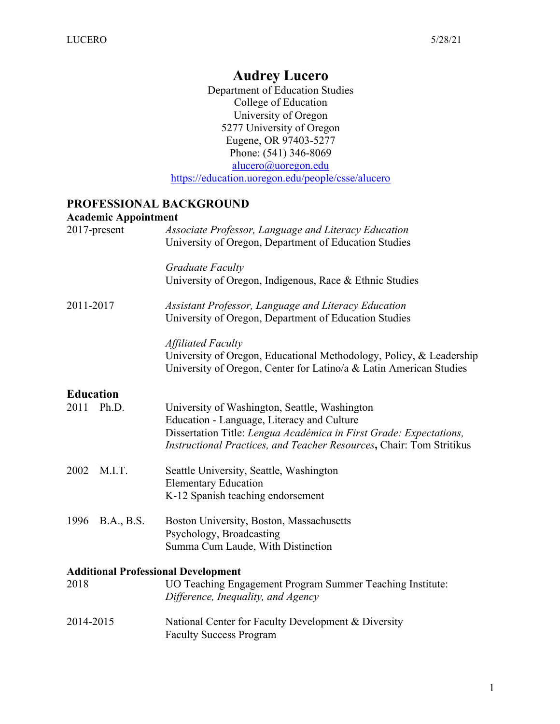# **Audrey Lucero**

Department of Education Studies College of Education University of Oregon 5277 University of Oregon Eugene, OR 97403-5277 Phone: (541) 346-8069 alucero@uoregon.edu https://education.uoregon.edu/people/csse/alucero

#### **PROFESSIONAL BACKGROUND**

|                                   | <b>Academic Appointment</b>                                                                                                                                            |
|-----------------------------------|------------------------------------------------------------------------------------------------------------------------------------------------------------------------|
| 2017-present                      | Associate Professor, Language and Literacy Education<br>University of Oregon, Department of Education Studies                                                          |
|                                   | Graduate Faculty<br>University of Oregon, Indigenous, Race & Ethnic Studies                                                                                            |
| 2011-2017                         | Assistant Professor, Language and Literacy Education<br>University of Oregon, Department of Education Studies                                                          |
|                                   | <b>Affiliated Faculty</b><br>University of Oregon, Educational Methodology, Policy, & Leadership<br>University of Oregon, Center for Latino/a & Latin American Studies |
| <b>Education</b><br>Ph.D.<br>2011 | University of Washington, Seattle, Washington<br>Education - Language, Literacy and Culture<br>Dissertation Title: Lengua Académica in First Grade: Expectations,      |
| 2002<br>M.I.T.                    | Instructional Practices, and Teacher Resources, Chair: Tom Stritikus<br>Seattle University, Seattle, Washington<br><b>Elementary Education</b>                         |
| 1996<br><b>B.A., B.S.</b>         | K-12 Spanish teaching endorsement<br>Boston University, Boston, Massachusetts                                                                                          |
|                                   | Psychology, Broadcasting<br>Summa Cum Laude, With Distinction                                                                                                          |
| 2018                              | <b>Additional Professional Development</b><br>UO Teaching Engagement Program Summer Teaching Institute:<br>Difference, Inequality, and Agency                          |
| 2014-2015                         | National Center for Faculty Development & Diversity                                                                                                                    |

Faculty Success Program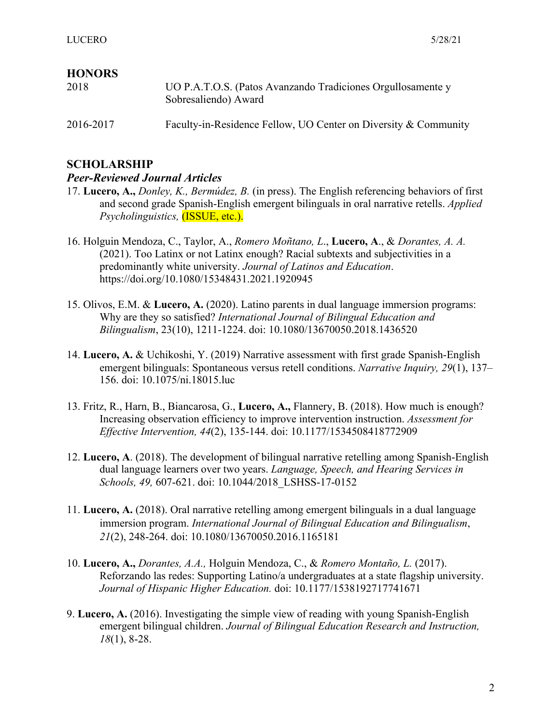## **HONORS**

| 2018      | UO P.A.T.O.S. (Patos Avanzando Tradiciones Orgullosamente y<br>Sobresaliendo) Award |
|-----------|-------------------------------------------------------------------------------------|
| 2016-2017 | Faculty-in-Residence Fellow, UO Center on Diversity & Community                     |

# **SCHOLARSHIP**

#### *Peer-Reviewed Journal Articles*

- 17. **Lucero, A.,** *Donley, K., Bermúdez, B.* (in press). The English referencing behaviors of first and second grade Spanish-English emergent bilinguals in oral narrative retells. *Applied Psycholinguistics,* (ISSUE, etc.).
- 16. Holguin Mendoza, C., Taylor, A., *Romero Moñtano, L*., **Lucero, A**., & *Dorantes, A. A.* (2021). Too Latinx or not Latinx enough? Racial subtexts and subjectivities in a predominantly white university. *Journal of Latinos and Education*. https://doi.org/10.1080/15348431.2021.1920945
- 15. Olivos, E.M. & **Lucero, A.** (2020). Latino parents in dual language immersion programs: Why are they so satisfied? *International Journal of Bilingual Education and Bilingualism*, 23(10), 1211-1224. doi: 10.1080/13670050.2018.1436520
- 14. **Lucero, A.** & Uchikoshi, Y. (2019) Narrative assessment with first grade Spanish-English emergent bilinguals: Spontaneous versus retell conditions. *Narrative Inquiry, 29*(1), 137– 156. doi: 10.1075/ni.18015.luc
- 13. Fritz, R., Harn, B., Biancarosa, G., **Lucero, A.,** Flannery, B. (2018). How much is enough? Increasing observation efficiency to improve intervention instruction. *Assessment for Effective Intervention, 44*(2), 135-144. doi: 10.1177/1534508418772909
- 12. **Lucero, A**. (2018). The development of bilingual narrative retelling among Spanish-English dual language learners over two years. *Language, Speech, and Hearing Services in Schools, 49,* 607-621. doi: 10.1044/2018\_LSHSS-17-0152
- 11. **Lucero, A.** (2018). Oral narrative retelling among emergent bilinguals in a dual language immersion program. *International Journal of Bilingual Education and Bilingualism*, *21*(2), 248-264. doi: 10.1080/13670050.2016.1165181
- 10. **Lucero, A.,** *Dorantes, A.A.,* Holguin Mendoza, C., & *Romero Montaño, L.* (2017). Reforzando las redes: Supporting Latino/a undergraduates at a state flagship university. *Journal of Hispanic Higher Education.* doi: 10.1177/1538192717741671
- 9. **Lucero, A.** (2016). Investigating the simple view of reading with young Spanish-English emergent bilingual children. *Journal of Bilingual Education Research and Instruction, 18*(1), 8-28.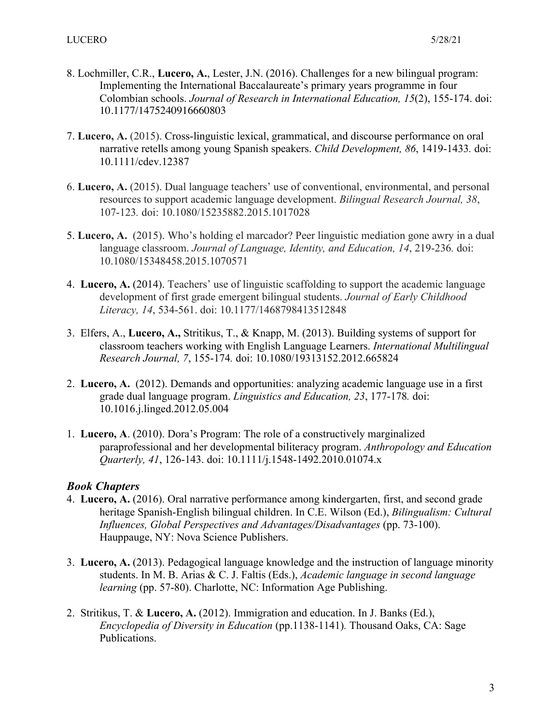- 8. Lochmiller, C.R., **Lucero, A.**, Lester, J.N. (2016). Challenges for a new bilingual program: Implementing the International Baccalaureate's primary years programme in four Colombian schools. *Journal of Research in International Education, 15*(2), 155-174. doi: 10.1177/1475240916660803
- 7. **Lucero, A.** (2015). Cross-linguistic lexical, grammatical, and discourse performance on oral narrative retells among young Spanish speakers. *Child Development, 86*, 1419-1433*.* doi: 10.1111/cdev.12387
- 6. **Lucero, A.** (2015). Dual language teachers' use of conventional, environmental, and personal resources to support academic language development. *Bilingual Research Journal, 38*, 107-123*.* doi: 10.1080/15235882.2015.1017028
- 5. **Lucero, A.** (2015). Who's holding el marcador? Peer linguistic mediation gone awry in a dual language classroom. *Journal of Language, Identity, and Education, 14*, 219-236*.* doi: 10.1080/15348458.2015.1070571
- 4. **Lucero, A.** (2014). Teachers' use of linguistic scaffolding to support the academic language development of first grade emergent bilingual students. *Journal of Early Childhood Literacy, 14*, 534-561. doi: 10.1177/1468798413512848
- 3. Elfers, A., **Lucero, A.,** Stritikus, T., & Knapp, M. (2013). Building systems of support for classroom teachers working with English Language Learners. *International Multilingual Research Journal, 7*, 155-174*.* doi: 10.1080/19313152.2012.665824
- 2. **Lucero, A.** (2012). Demands and opportunities: analyzing academic language use in a first grade dual language program. *Linguistics and Education, 23*, 177-178*.* doi: 10.1016.j.linged.2012.05.004
- 1. **Lucero, A**. (2010). Dora's Program: The role of a constructively marginalized paraprofessional and her developmental biliteracy program. *Anthropology and Education Quarterly, 41*, 126-143. doi: 10.1111/j.1548-1492.2010.01074.x

#### *Book Chapters*

- 4. **Lucero, A.** (2016). Oral narrative performance among kindergarten, first, and second grade heritage Spanish-English bilingual children. In C.E. Wilson (Ed.), *Bilingualism: Cultural Influences, Global Perspectives and Advantages/Disadvantages* (pp. 73-100). Hauppauge, NY: Nova Science Publishers.
- 3. **Lucero, A.** (2013). Pedagogical language knowledge and the instruction of language minority students. In M. B. Arias & C. J. Faltis (Eds.), *Academic language in second language learning* (pp. 57-80). Charlotte, NC: Information Age Publishing.
- 2. Stritikus, T. & **Lucero, A.** (2012). Immigration and education. In J. Banks (Ed.), *Encyclopedia of Diversity in Education* (pp.1138-1141)*.* Thousand Oaks, CA: Sage Publications.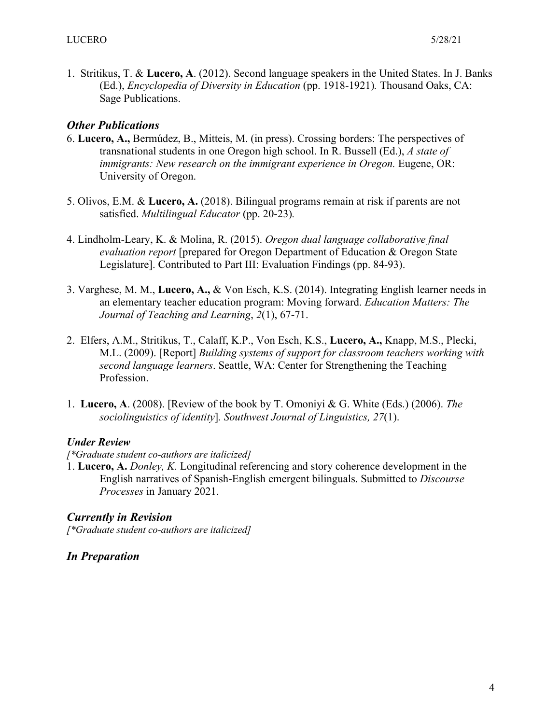1. Stritikus, T. & **Lucero, A**. (2012). Second language speakers in the United States. In J. Banks (Ed.), *Encyclopedia of Diversity in Education* (pp. 1918-1921)*.* Thousand Oaks, CA: Sage Publications.

### *Other Publications*

- 6. **Lucero, A.,** Bermúdez, B., Mitteis, M. (in press). Crossing borders: The perspectives of transnational students in one Oregon high school. In R. Bussell (Ed.), *A state of immigrants: New research on the immigrant experience in Oregon. Eugene, OR:* University of Oregon.
- 5. Olivos, E.M. & **Lucero, A.** (2018). Bilingual programs remain at risk if parents are not satisfied. *Multilingual Educator* (pp. 20-23)*.*
- 4. Lindholm-Leary, K. & Molina, R. (2015). *Oregon dual language collaborative final evaluation report* [prepared for Oregon Department of Education & Oregon State Legislature]. Contributed to Part III: Evaluation Findings (pp. 84-93).
- 3. Varghese, M. M., **Lucero, A.,** & Von Esch, K.S. (2014). Integrating English learner needs in an elementary teacher education program: Moving forward. *Education Matters: The Journal of Teaching and Learning*, *2*(1), 67-71.
- 2. Elfers, A.M., Stritikus, T., Calaff, K.P., Von Esch, K.S., **Lucero, A.,** Knapp, M.S., Plecki, M.L. (2009). [Report] *Building systems of support for classroom teachers working with second language learners*. Seattle, WA: Center for Strengthening the Teaching Profession.
- 1. **Lucero, A**. (2008). [Review of the book by T. Omoniyi & G. White (Eds.) (2006). *The sociolinguistics of identity*]*. Southwest Journal of Linguistics, 27*(1).

#### *Under Review*

#### *[\*Graduate student co-authors are italicized]*

1. **Lucero, A.** *Donley, K.* Longitudinal referencing and story coherence development in the English narratives of Spanish-English emergent bilinguals. Submitted to *Discourse Processes* in January 2021.

#### *Currently in Revision*

*[\*Graduate student co-authors are italicized]*

#### *In Preparation*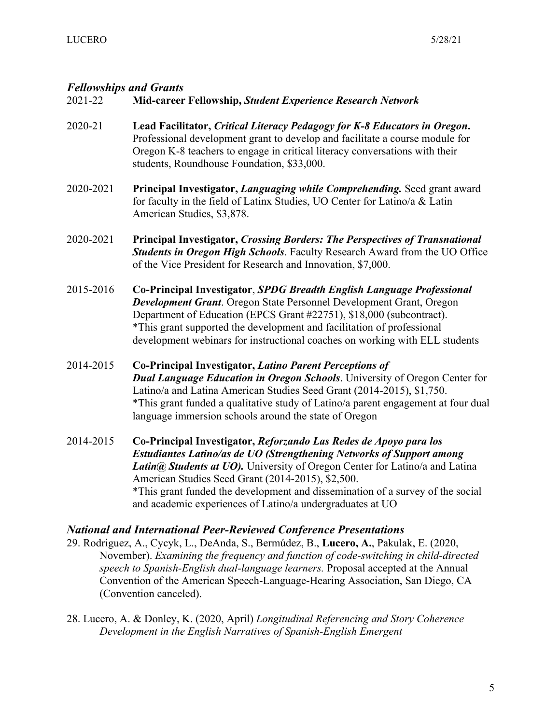# *Fellowships and Grants*

## 2021-22 **Mid-career Fellowship,** *Student Experience Research Network*

- 2020-21 **Lead Facilitator,** *Critical Literacy Pedagogy for K-8 Educators in Oregon***.**  Professional development grant to develop and facilitate a course module for Oregon K-8 teachers to engage in critical literacy conversations with their students, Roundhouse Foundation, \$33,000.
- 2020-2021 **Principal Investigator,** *Languaging while Comprehending.* Seed grant award for faculty in the field of Latinx Studies, UO Center for Latino/a & Latin American Studies, \$3,878.
- 2020-2021 **Principal Investigator,** *Crossing Borders: The Perspectives of Transnational Students in Oregon High Schools*. Faculty Research Award from the UO Office of the Vice President for Research and Innovation, \$7,000.
- 2015-2016 **Co-Principal Investigator**, *SPDG Breadth English Language Professional Development Grant*. Oregon State Personnel Development Grant, Oregon Department of Education (EPCS Grant #22751), \$18,000 (subcontract). \*This grant supported the development and facilitation of professional development webinars for instructional coaches on working with ELL students
- 2014-2015 **Co-Principal Investigator,** *Latino Parent Perceptions of Dual Language Education in Oregon Schools*. University of Oregon Center for Latino/a and Latina American Studies Seed Grant (2014-2015), \$1,750. \*This grant funded a qualitative study of Latino/a parent engagement at four dual language immersion schools around the state of Oregon
- 2014-2015 **Co-Principal Investigator,** *Reforzando Las Redes de Apoyo para los Estudiantes Latino/as de UO (Strengthening Networks of Support among Latin@ Students at UO).* University of Oregon Center for Latino/a and Latina American Studies Seed Grant (2014-2015), \$2,500. \*This grant funded the development and dissemination of a survey of the social and academic experiences of Latino/a undergraduates at UO

#### *National and International Peer-Reviewed Conference Presentations*

29. Rodriguez, A., Cycyk, L., DeAnda, S., Bermúdez, B., **Lucero, A.**, Pakulak, E. (2020, November). *Examining the frequency and function of code-switching in child-directed speech to Spanish-English dual-language learners.* Proposal accepted at the Annual Convention of the American Speech-Language-Hearing Association, San Diego, CA (Convention canceled).

28. Lucero, A. & Donley, K. (2020, April) *Longitudinal Referencing and Story Coherence Development in the English Narratives of Spanish-English Emergent*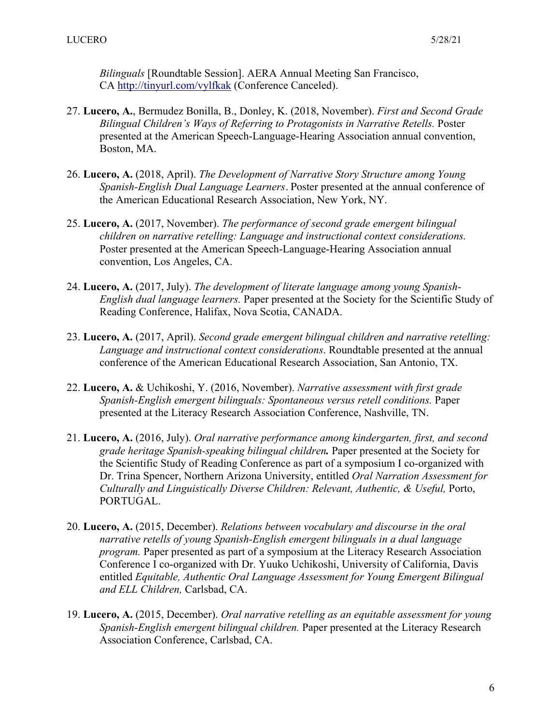*Bilinguals* [Roundtable Session]. AERA Annual Meeting San Francisco, CA http://tinyurl.com/vylfkak (Conference Canceled).

- 27. **Lucero, A.**, Bermudez Bonilla, B., Donley, K. (2018, November). *First and Second Grade Bilingual Children's Ways of Referring to Protagonists in Narrative Retells.* Poster presented at the American Speech-Language-Hearing Association annual convention, Boston, MA.
- 26. **Lucero, A.** (2018, April). *The Development of Narrative Story Structure among Young Spanish-English Dual Language Learners*. Poster presented at the annual conference of the American Educational Research Association, New York, NY.
- 25. **Lucero, A.** (2017, November). *The performance of second grade emergent bilingual children on narrative retelling: Language and instructional context considerations.*  Poster presented at the American Speech-Language-Hearing Association annual convention, Los Angeles, CA.
- 24. **Lucero, A.** (2017, July). *The development of literate language among young Spanish-English dual language learners.* Paper presented at the Society for the Scientific Study of Reading Conference, Halifax, Nova Scotia, CANADA.
- 23. **Lucero, A.** (2017, April). *Second grade emergent bilingual children and narrative retelling: Language and instructional context considerations*. Roundtable presented at the annual conference of the American Educational Research Association, San Antonio, TX.
- 22. **Lucero, A.** & Uchikoshi, Y. (2016, November). *Narrative assessment with first grade Spanish-English emergent bilinguals: Spontaneous versus retell conditions.* Paper presented at the Literacy Research Association Conference, Nashville, TN.
- 21. **Lucero, A.** (2016, July). *Oral narrative performance among kindergarten, first, and second grade heritage Spanish-speaking bilingual children.* Paper presented at the Society for the Scientific Study of Reading Conference as part of a symposium I co-organized with Dr. Trina Spencer, Northern Arizona University, entitled *Oral Narration Assessment for Culturally and Linguistically Diverse Children: Relevant, Authentic, & Useful,* Porto, PORTUGAL.
- 20. **Lucero, A.** (2015, December). *Relations between vocabulary and discourse in the oral narrative retells of young Spanish-English emergent bilinguals in a dual language program.* Paper presented as part of a symposium at the Literacy Research Association Conference I co-organized with Dr. Yuuko Uchikoshi, University of California, Davis entitled *Equitable, Authentic Oral Language Assessment for Young Emergent Bilingual and ELL Children,* Carlsbad, CA.
- 19. **Lucero, A.** (2015, December). *Oral narrative retelling as an equitable assessment for young Spanish-English emergent bilingual children.* Paper presented at the Literacy Research Association Conference, Carlsbad, CA.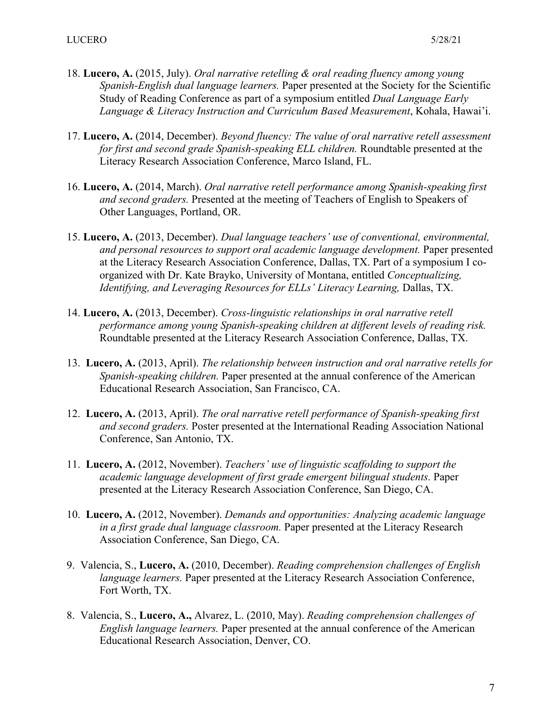- 18. **Lucero, A.** (2015, July). *Oral narrative retelling & oral reading fluency among young Spanish-English dual language learners.* Paper presented at the Society for the Scientific Study of Reading Conference as part of a symposium entitled *Dual Language Early Language & Literacy Instruction and Curriculum Based Measurement*, Kohala, Hawai'i.
- 17. **Lucero, A.** (2014, December). *Beyond fluency: The value of oral narrative retell assessment for first and second grade Spanish-speaking ELL children.* Roundtable presented at the Literacy Research Association Conference, Marco Island, FL.
- 16. **Lucero, A.** (2014, March). *Oral narrative retell performance among Spanish-speaking first and second graders.* Presented at the meeting of Teachers of English to Speakers of Other Languages, Portland, OR.
- 15. **Lucero, A.** (2013, December). *Dual language teachers' use of conventional, environmental, and personal resources to support oral academic language development.* Paper presented at the Literacy Research Association Conference, Dallas, TX. Part of a symposium I coorganized with Dr. Kate Brayko, University of Montana, entitled *Conceptualizing, Identifying, and Leveraging Resources for ELLs' Literacy Learning, Dallas, TX.*
- 14. **Lucero, A.** (2013, December). *Cross-linguistic relationships in oral narrative retell performance among young Spanish-speaking children at different levels of reading risk.*  Roundtable presented at the Literacy Research Association Conference, Dallas, TX.
- 13. **Lucero, A.** (2013, April). *The relationship between instruction and oral narrative retells for Spanish-speaking children.* Paper presented at the annual conference of the American Educational Research Association, San Francisco, CA.
- 12. **Lucero, A.** (2013, April). *The oral narrative retell performance of Spanish-speaking first and second graders.* Poster presented at the International Reading Association National Conference, San Antonio, TX.
- 11. **Lucero, A.** (2012, November). *Teachers' use of linguistic scaffolding to support the academic language development of first grade emergent bilingual students.* Paper presented at the Literacy Research Association Conference, San Diego, CA.
- 10. **Lucero, A.** (2012, November). *Demands and opportunities: Analyzing academic language in a first grade dual language classroom.* Paper presented at the Literacy Research Association Conference, San Diego, CA.
- 9. Valencia, S., **Lucero, A.** (2010, December). *Reading comprehension challenges of English language learners.* Paper presented at the Literacy Research Association Conference, Fort Worth, TX.
- 8. Valencia, S., **Lucero, A.,** Alvarez, L. (2010, May). *Reading comprehension challenges of English language learners.* Paper presented at the annual conference of the American Educational Research Association, Denver, CO.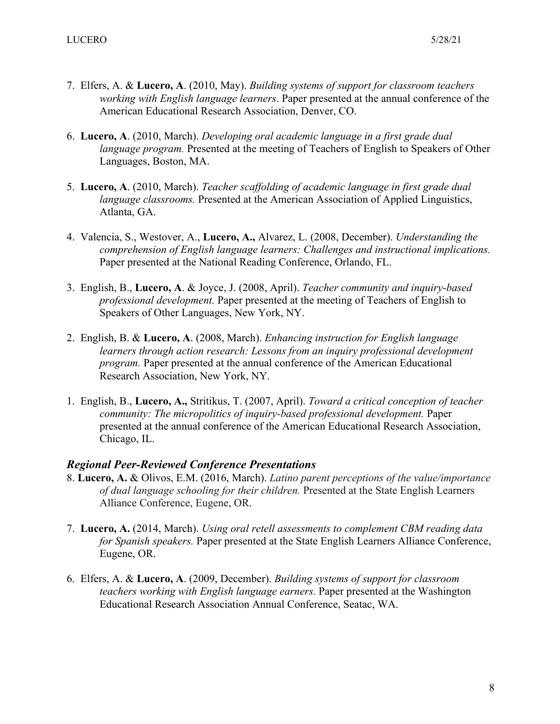- 7. Elfers, A. & **Lucero, A**. (2010, May). *Building systems of support for classroom teachers working with English language learners*. Paper presented at the annual conference of the American Educational Research Association, Denver, CO.
- 6. **Lucero, A**. (2010, March). *Developing oral academic language in a first grade dual language program.* Presented at the meeting of Teachers of English to Speakers of Other Languages, Boston, MA.
- 5. **Lucero, A**. (2010, March). *Teacher scaffolding of academic language in first grade dual language classrooms.* Presented at the American Association of Applied Linguistics, Atlanta, GA.
- 4. Valencia, S., Westover, A., **Lucero, A.,** Alvarez, L. (2008, December). *Understanding the comprehension of English language learners: Challenges and instructional implications.*  Paper presented at the National Reading Conference, Orlando, FL.
- 3. English, B., **Lucero, A**. & Joyce, J. (2008, April). *Teacher community and inquiry-based professional development.* Paper presented at the meeting of Teachers of English to Speakers of Other Languages, New York, NY.
- 2. English, B. & **Lucero, A**. (2008, March). *Enhancing instruction for English language learners through action research: Lessons from an inquiry professional development program.* Paper presented at the annual conference of the American Educational Research Association, New York, NY.
- 1. English, B., **Lucero, A.,** Stritikus, T. (2007, April). *Toward a critical conception of teacher community: The micropolitics of inquiry-based professional development.* Paper presented at the annual conference of the American Educational Research Association, Chicago, IL.

#### *Regional Peer-Reviewed Conference Presentations*

- 8. **Lucero, A.** & Olivos, E.M. (2016, March). *Latino parent perceptions of the value/importance of dual language schooling for their children.* Presented at the State English Learners Alliance Conference, Eugene, OR.
- 7. **Lucero, A.** (2014, March). *Using oral retell assessments to complement CBM reading data for Spanish speakers.* Paper presented at the State English Learners Alliance Conference, Eugene, OR.
- 6. Elfers, A. & **Lucero, A**. (2009, December). *Building systems of support for classroom teachers working with English language earners.* Paper presented at the Washington Educational Research Association Annual Conference, Seatac, WA.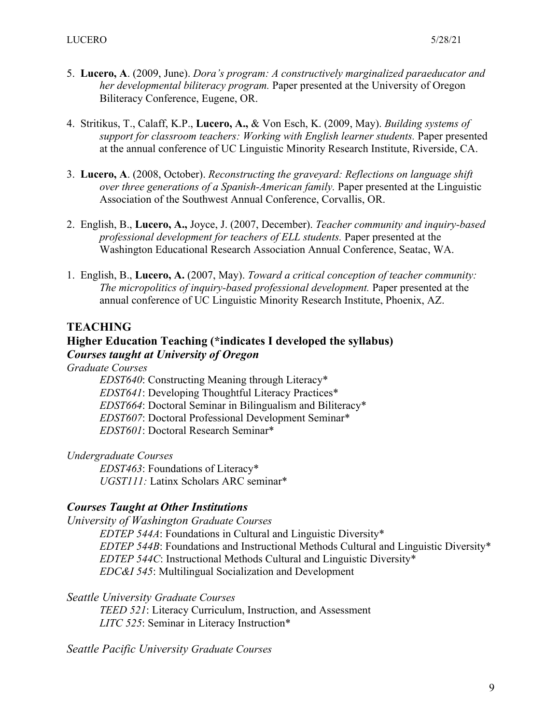- 5. **Lucero, A**. (2009, June). *Dora's program: A constructively marginalized paraeducator and her developmental biliteracy program.* Paper presented at the University of Oregon Biliteracy Conference, Eugene, OR.
- 4. Stritikus, T., Calaff, K.P., **Lucero, A.,** & Von Esch, K. (2009, May). *Building systems of support for classroom teachers: Working with English learner students.* Paper presented at the annual conference of UC Linguistic Minority Research Institute, Riverside, CA.
- 3. **Lucero, A**. (2008, October). *Reconstructing the graveyard: Reflections on language shift over three generations of a Spanish-American family.* Paper presented at the Linguistic Association of the Southwest Annual Conference, Corvallis, OR.
- 2. English, B., **Lucero, A.,** Joyce, J. (2007, December). *Teacher community and inquiry-based professional development for teachers of ELL students.* Paper presented at the Washington Educational Research Association Annual Conference, Seatac, WA.
- 1. English, B., **Lucero, A.** (2007, May). *Toward a critical conception of teacher community: The micropolitics of inquiry-based professional development.* Paper presented at the annual conference of UC Linguistic Minority Research Institute, Phoenix, AZ.

# **TEACHING**

# **Higher Education Teaching (\*indicates I developed the syllabus)** *Courses taught at University of Oregon*

*Graduate Courses*

*EDST640*: Constructing Meaning through Literacy\* *EDST641*: Developing Thoughtful Literacy Practices\* *EDST664*: Doctoral Seminar in Bilingualism and Biliteracy\* *EDST607*: Doctoral Professional Development Seminar\* *EDST601*: Doctoral Research Seminar\*

*Undergraduate Courses*

*EDST463*: Foundations of Literacy\* *UGST111:* Latinx Scholars ARC seminar\*

# *Courses Taught at Other Institutions*

*University of Washington Graduate Courses*

*EDTEP 544A*: Foundations in Cultural and Linguistic Diversity\* *EDTEP 544B*: Foundations and Instructional Methods Cultural and Linguistic Diversity\* *EDTEP 544C*: Instructional Methods Cultural and Linguistic Diversity\* *EDC&I 545*: Multilingual Socialization and Development

*Seattle University Graduate Courses*

*TEED 521*: Literacy Curriculum, Instruction, and Assessment *LITC 525*: Seminar in Literacy Instruction\*

*Seattle Pacific University Graduate Courses*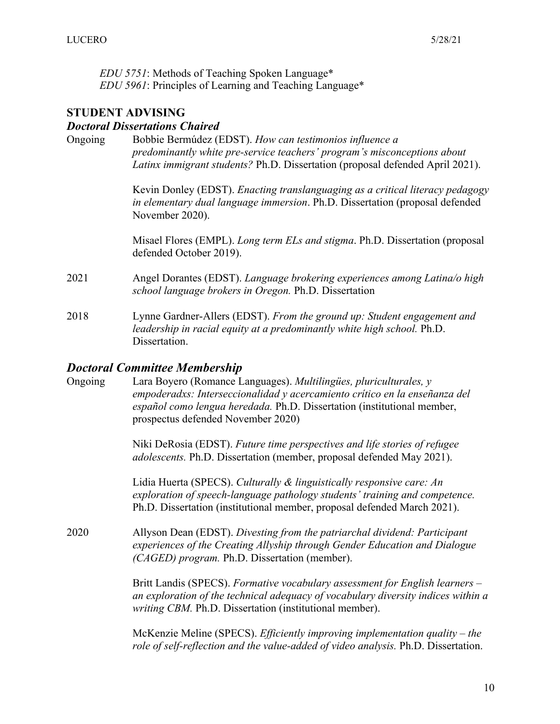*EDU 5751*: Methods of Teaching Spoken Language\* *EDU 5961*: Principles of Learning and Teaching Language\*

### **STUDENT ADVISING**

#### *Doctoral Dissertations Chaired*

Ongoing Bobbie Bermúdez (EDST). *How can testimonios influence a predominantly white pre-service teachers' program's misconceptions about Latinx immigrant students?* Ph.D. Dissertation (proposal defended April 2021).

> Kevin Donley (EDST). *Enacting translanguaging as a critical literacy pedagogy in elementary dual language immersion*. Ph.D. Dissertation (proposal defended November 2020).

Misael Flores (EMPL). *Long term ELs and stigma*. Ph.D. Dissertation (proposal defended October 2019).

- 2021 Angel Dorantes (EDST). *Language brokering experiences among Latina/o high school language brokers in Oregon.* Ph.D. Dissertation
- 2018 Lynne Gardner-Allers (EDST). *From the ground up: Student engagement and leadership in racial equity at a predominantly white high school.* Ph.D. Dissertation.

#### *Doctoral Committee Membership*

| Ongoing | Lara Boyero (Romance Languages). Multilingues, pluriculturales, y               |
|---------|---------------------------------------------------------------------------------|
|         | empoderadxs: Interseccionalidad y acercamiento crítico en la enseñanza del      |
|         | <i>español como lengua heredada</i> . Ph.D. Dissertation (institutional member, |
|         | prospectus defended November 2020)                                              |
|         |                                                                                 |

Niki DeRosia (EDST). *Future time perspectives and life stories of refugee adolescents.* Ph.D. Dissertation (member, proposal defended May 2021).

Lidia Huerta (SPECS). *Culturally & linguistically responsive care: An exploration of speech-language pathology students' training and competence.*  Ph.D. Dissertation (institutional member, proposal defended March 2021).

2020 Allyson Dean (EDST). *Divesting from the patriarchal dividend: Participant experiences of the Creating Allyship through Gender Education and Dialogue (CAGED) program.* Ph.D. Dissertation (member).

> Britt Landis (SPECS). *Formative vocabulary assessment for English learners – an exploration of the technical adequacy of vocabulary diversity indices within a writing CBM.* Ph.D. Dissertation (institutional member).

McKenzie Meline (SPECS). *Efficiently improving implementation quality – the role of self-reflection and the value-added of video analysis.* Ph.D. Dissertation.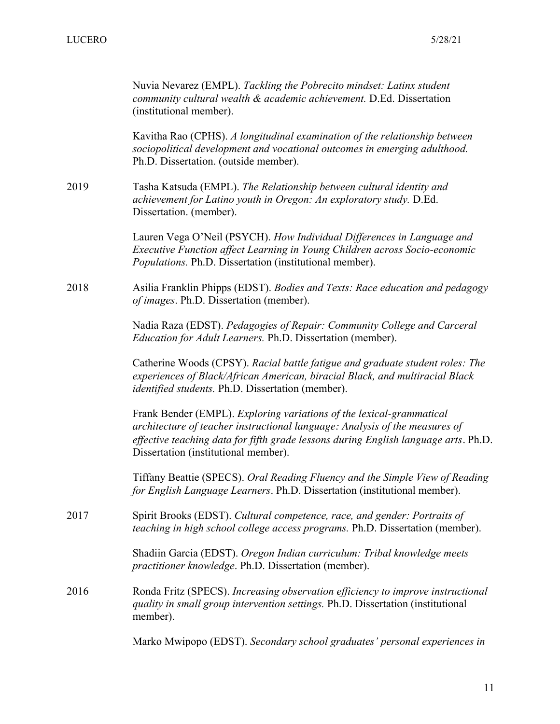|      | Nuvia Nevarez (EMPL). Tackling the Pobrecito mindset: Latinx student<br>community cultural wealth & academic achievement. D.Ed. Dissertation<br>(institutional member).                                                                                                            |
|------|------------------------------------------------------------------------------------------------------------------------------------------------------------------------------------------------------------------------------------------------------------------------------------|
|      | Kavitha Rao (CPHS). A longitudinal examination of the relationship between<br>sociopolitical development and vocational outcomes in emerging adulthood.<br>Ph.D. Dissertation. (outside member).                                                                                   |
| 2019 | Tasha Katsuda (EMPL). The Relationship between cultural identity and<br>achievement for Latino youth in Oregon: An exploratory study. D.Ed.<br>Dissertation. (member).                                                                                                             |
|      | Lauren Vega O'Neil (PSYCH). How Individual Differences in Language and<br>Executive Function affect Learning in Young Children across Socio-economic<br>Populations. Ph.D. Dissertation (institutional member).                                                                    |
| 2018 | Asilia Franklin Phipps (EDST). Bodies and Texts: Race education and pedagogy<br>of images. Ph.D. Dissertation (member).                                                                                                                                                            |
|      | Nadia Raza (EDST). Pedagogies of Repair: Community College and Carceral<br>Education for Adult Learners. Ph.D. Dissertation (member).                                                                                                                                              |
|      | Catherine Woods (CPSY). Racial battle fatigue and graduate student roles: The<br>experiences of Black/African American, biracial Black, and multiracial Black<br>identified students. Ph.D. Dissertation (member).                                                                 |
|      | Frank Bender (EMPL). Exploring variations of the lexical-grammatical<br>architecture of teacher instructional language: Analysis of the measures of<br>effective teaching data for fifth grade lessons during English language arts. Ph.D.<br>Dissertation (institutional member). |
|      | Tiffany Beattie (SPECS). Oral Reading Fluency and the Simple View of Reading<br>for English Language Learners. Ph.D. Dissertation (institutional member).                                                                                                                          |
| 2017 | Spirit Brooks (EDST). Cultural competence, race, and gender: Portraits of<br>teaching in high school college access programs. Ph.D. Dissertation (member).                                                                                                                         |
|      | Shadiin Garcia (EDST). Oregon Indian curriculum: Tribal knowledge meets<br>practitioner knowledge. Ph.D. Dissertation (member).                                                                                                                                                    |
| 2016 | Ronda Fritz (SPECS). Increasing observation efficiency to improve instructional<br>quality in small group intervention settings. Ph.D. Dissertation (institutional<br>member).                                                                                                     |
|      | Marko Mwipopo (EDST). Secondary school graduates' personal experiences in                                                                                                                                                                                                          |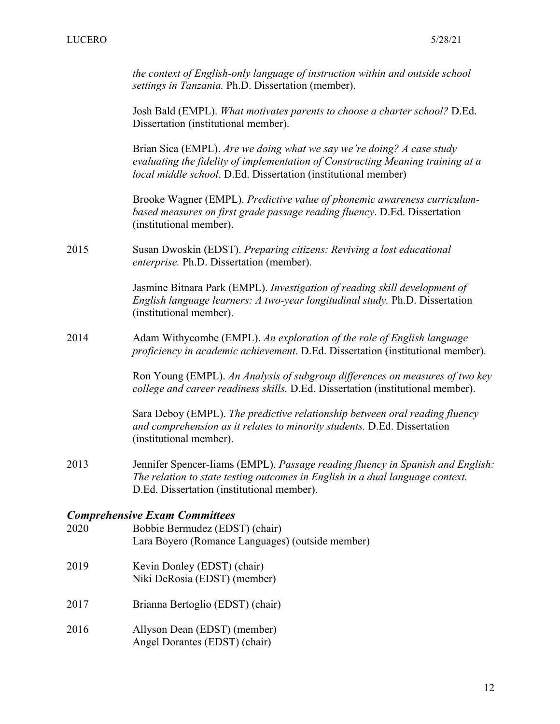*the context of English-only language of instruction within and outside school settings in Tanzania.* Ph.D. Dissertation (member).

Josh Bald (EMPL). *What motivates parents to choose a charter school?* D.Ed. Dissertation (institutional member).

Brian Sica (EMPL). *Are we doing what we say we're doing? A case study evaluating the fidelity of implementation of Constructing Meaning training at a local middle school*. D.Ed. Dissertation (institutional member)

Brooke Wagner (EMPL). *Predictive value of phonemic awareness curriculumbased measures on first grade passage reading fluency*. D.Ed. Dissertation (institutional member).

2015 Susan Dwoskin (EDST). *Preparing citizens: Reviving a lost educational enterprise.* Ph.D. Dissertation (member).

> Jasmine Bitnara Park (EMPL). *Investigation of reading skill development of English language learners: A two-year longitudinal study.* Ph.D. Dissertation (institutional member).

2014 Adam Withycombe (EMPL). *An exploration of the role of English language proficiency in academic achievement*. D.Ed. Dissertation (institutional member).

> Ron Young (EMPL). *An Analysis of subgroup differences on measures of two key college and career readiness skills.* D.Ed. Dissertation (institutional member).

Sara Deboy (EMPL). *The predictive relationship between oral reading fluency and comprehension as it relates to minority students.* D.Ed. Dissertation (institutional member).

2013 Jennifer Spencer-Iiams (EMPL). *Passage reading fluency in Spanish and English: The relation to state testing outcomes in English in a dual language context.*  D.Ed. Dissertation (institutional member).

#### *Comprehensive Exam Committees*

- 2020 Bobbie Bermudez (EDST) (chair) Lara Boyero (Romance Languages) (outside member) 2019 Kevin Donley (EDST) (chair) Niki DeRosia (EDST) (member) 2017 Brianna Bertoglio (EDST) (chair) 2016 Allyson Dean (EDST) (member)
- Angel Dorantes (EDST) (chair)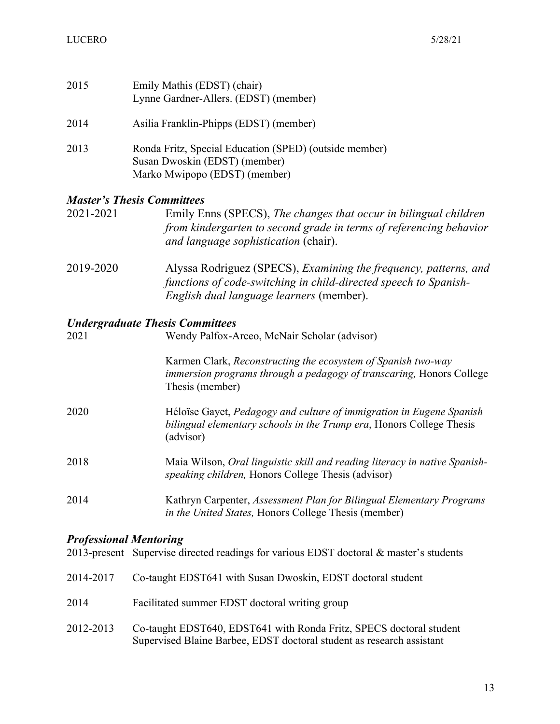| 2015 | Emily Mathis (EDST) (chair)<br>Lynne Gardner-Allers. (EDST) (member)                                                     |
|------|--------------------------------------------------------------------------------------------------------------------------|
| 2014 | Asilia Franklin-Phipps (EDST) (member)                                                                                   |
| 2013 | Ronda Fritz, Special Education (SPED) (outside member)<br>Susan Dwoskin (EDST) (member)<br>Marko Mwipopo (EDST) (member) |

#### *Master's Thesis Committees*

| 2021-2021 | Emily Enns (SPECS), The changes that occur in bilingual children   |
|-----------|--------------------------------------------------------------------|
|           | from kindergarten to second grade in terms of referencing behavior |
|           | and language sophistication (chair).                               |

2019-2020 Alyssa Rodriguez (SPECS), *Examining the frequency, patterns, and functions of code-switching in child-directed speech to Spanish-English dual language learners* (member).

#### *Undergraduate Thesis Committees*

| 2021 | Wendy Palfox-Arceo, McNair Scholar (advisor)                                                                                                              |
|------|-----------------------------------------------------------------------------------------------------------------------------------------------------------|
|      | Karmen Clark, Reconstructing the ecosystem of Spanish two-way<br>immersion programs through a pedagogy of transcaring, Honors College<br>Thesis (member)  |
| 2020 | Héloïse Gayet, Pedagogy and culture of immigration in Eugene Spanish<br>bilingual elementary schools in the Trump era, Honors College Thesis<br>(advisor) |
| 2018 | Maia Wilson, Oral linguistic skill and reading literacy in native Spanish-<br>speaking children, Honors College Thesis (advisor)                          |
| 2014 | Kathryn Carpenter, Assessment Plan for Bilingual Elementary Programs<br>in the United States, Honors College Thesis (member)                              |

## *Professional Mentoring*

2013-present Supervise directed readings for various EDST doctoral & master's students

|  |  |  | 2014-2017 Co-taught EDST641 with Susan Dwoskin, EDST doctoral student |
|--|--|--|-----------------------------------------------------------------------|
|--|--|--|-----------------------------------------------------------------------|

- 2014 Facilitated summer EDST doctoral writing group
- 2012-2013 Co-taught EDST640, EDST641 with Ronda Fritz, SPECS doctoral student Supervised Blaine Barbee, EDST doctoral student as research assistant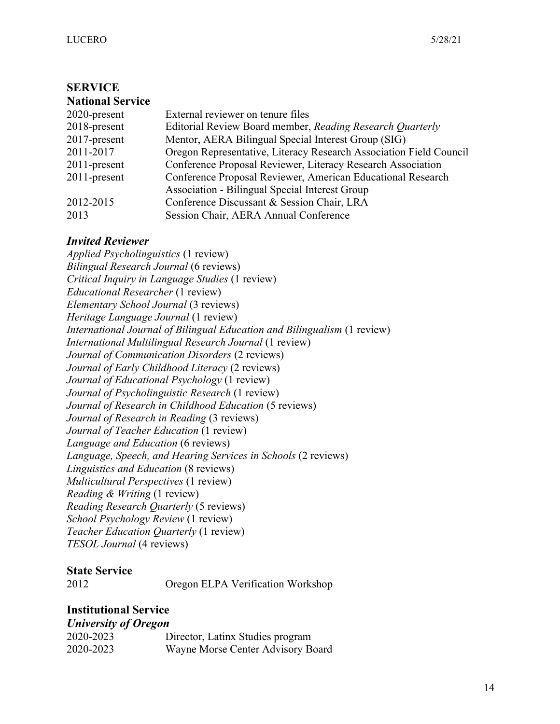#### **SERVICE National Service**

| <b>National Service</b> |                                                                    |
|-------------------------|--------------------------------------------------------------------|
| $2020$ -present         | External reviewer on tenure files                                  |
| $2018$ -present         | Editorial Review Board member, Reading Research Quarterly          |
| $2017$ -present         | Mentor, AERA Bilingual Special Interest Group (SIG)                |
| 2011-2017               | Oregon Representative, Literacy Research Association Field Council |
| $2011$ -present         | Conference Proposal Reviewer, Literacy Research Association        |
| $2011$ -present         | Conference Proposal Reviewer, American Educational Research        |
|                         | <b>Association - Bilingual Special Interest Group</b>              |
| 2012-2015               | Conference Discussant & Session Chair, LRA                         |
| 2013                    | Session Chair, AERA Annual Conference                              |
|                         |                                                                    |

## *Invited Reviewer*

*Applied Psycholinguistics* (1 review) *Bilingual Research Journal* (6 reviews) *Critical Inquiry in Language Studies* (1 review) *Educational Researcher* (1 review) *Elementary School Journal* (3 reviews) *Heritage Language Journal* (1 review) *International Journal of Bilingual Education and Bilingualism* (1 review) *International Multilingual Research Journal* (1 review) *Journal of Communication Disorders* (2 reviews) *Journal of Early Childhood Literacy* (2 reviews) *Journal of Educational Psychology* (1 review) *Journal of Psycholinguistic Research* (1 review) *Journal of Research in Childhood Education* (5 reviews) *Journal of Research in Reading* (3 reviews) *Journal of Teacher Education* (1 review) *Language and Education* (6 reviews) *Language, Speech, and Hearing Services in Schools* (2 reviews) *Linguistics and Education* (8 reviews) *Multicultural Perspectives* (1 review) *Reading & Writing* (1 review) *Reading Research Quarterly* (5 reviews) *School Psychology Review* (1 review) *Teacher Education Quarterly* (1 review) *TESOL Journal* (4 reviews)

# **State Service**

| 2012 | Oregon ELPA Verification Workshop |  |
|------|-----------------------------------|--|
|      |                                   |  |

# **Institutional Service**

#### *University of Oregon*

| $\sim$ . The second state $\sim$ second state $\sim$<br>2020-2023 | Director, Latinx Studies program  |
|-------------------------------------------------------------------|-----------------------------------|
| 2020-2023                                                         | Wayne Morse Center Advisory Board |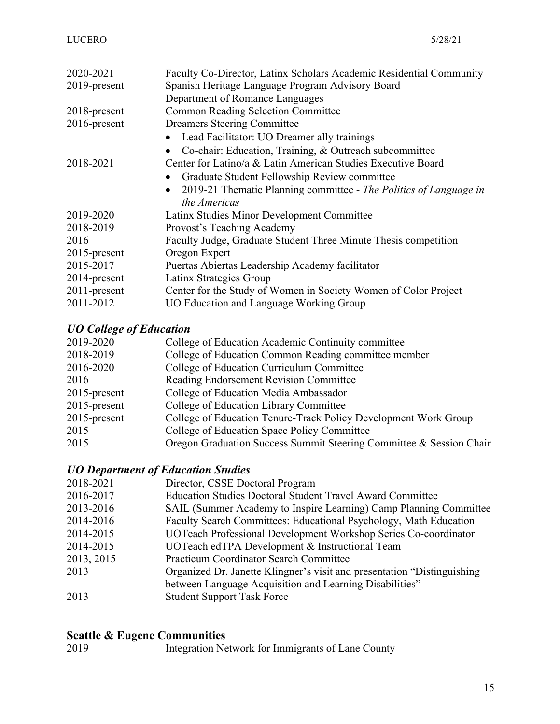| 2020-2021       | Faculty Co-Director, Latinx Scholars Academic Residential Community |
|-----------------|---------------------------------------------------------------------|
| 2019-present    | Spanish Heritage Language Program Advisory Board                    |
|                 | Department of Romance Languages                                     |
| $2018$ -present | <b>Common Reading Selection Committee</b>                           |
| 2016-present    | <b>Dreamers Steering Committee</b>                                  |
|                 | Lead Facilitator: UO Dreamer ally trainings                         |
|                 | Co-chair: Education, Training, & Outreach subcommittee              |
| 2018-2021       | Center for Latino/a & Latin American Studies Executive Board        |
|                 | Graduate Student Fellowship Review committee                        |
|                 | 2019-21 Thematic Planning committee - The Politics of Language in   |
|                 | the Americas                                                        |
| 2019-2020       | Latinx Studies Minor Development Committee                          |
| 2018-2019       | Provost's Teaching Academy                                          |
| 2016            | Faculty Judge, Graduate Student Three Minute Thesis competition     |
| $2015$ -present | Oregon Expert                                                       |
| 2015-2017       | Puertas Abiertas Leadership Academy facilitator                     |
| 2014-present    | Latinx Strategies Group                                             |
| $2011$ -present | Center for the Study of Women in Society Women of Color Project     |
| 2011-2012       | UO Education and Language Working Group                             |

# *UO College of Education*

| 2018-2019<br>College of Education Common Reading committee member                  |  |
|------------------------------------------------------------------------------------|--|
| College of Education Curriculum Committee<br>2016-2020                             |  |
| Reading Endorsement Revision Committee<br>2016                                     |  |
| College of Education Media Ambassador<br>$2015$ -present                           |  |
| $2015$ -present<br>College of Education Library Committee                          |  |
| College of Education Tenure-Track Policy Development Work Group<br>$2015$ -present |  |
| College of Education Space Policy Committee<br>2015                                |  |
| Oregon Graduation Success Summit Steering Committee & Session Chair<br>2015        |  |

# *UO Department of Education Studies*

| Director, CSSE Doctoral Program                                          |
|--------------------------------------------------------------------------|
| <b>Education Studies Doctoral Student Travel Award Committee</b>         |
| SAIL (Summer Academy to Inspire Learning) Camp Planning Committee        |
| Faculty Search Committees: Educational Psychology, Math Education        |
| UOTeach Professional Development Workshop Series Co-coordinator          |
| UOTeach edTPA Development & Instructional Team                           |
| <b>Practicum Coordinator Search Committee</b>                            |
| Organized Dr. Janette Klingner's visit and presentation "Distinguishing" |
| between Language Acquisition and Learning Disabilities"                  |
| <b>Student Support Task Force</b>                                        |
|                                                                          |

# **Seattle & Eugene Communities**

| 2019 | Integration Network for Immigrants of Lane County |  |
|------|---------------------------------------------------|--|
|      |                                                   |  |